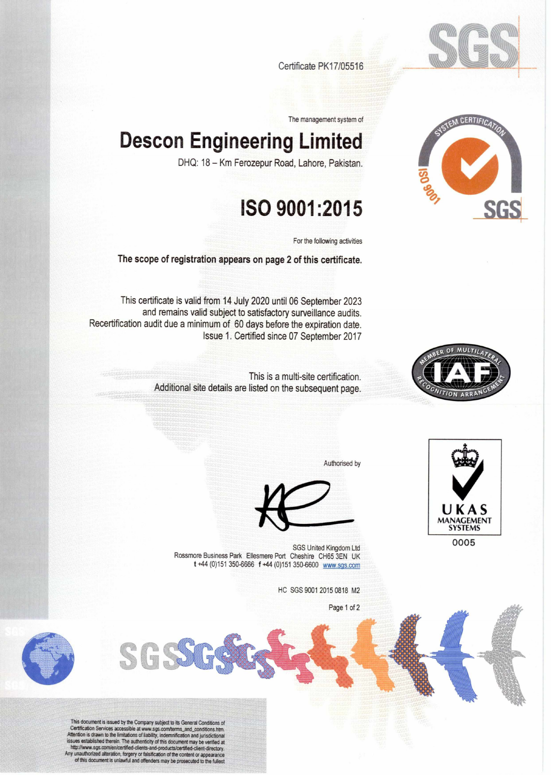

Certificate PK17/05516

The management system of

## **Descon Engineering Limited**

DHQ: 18 — Km Ferozepur Road, Lahore, Pakistan.

## **ISO 9001:2015**

For the following activities

**The scope of registration appears on page 2 of this certificate.** 

This certificate is valid from 14 July 2020 until 06 September 2023 and remains valid subject to satisfactory surveillance audits. Recertification audit due a minimum of 60 days before the expiration date. Issue 1. Certified since 07 September 2017



This is a multi-site certification. Additional site details are listed on the subsequent page.

Authorised by



SGS United Kingdom Ltd of Contract Contract Contract Contract Contract Contract Contract Contract Contract Contract Contract Contract Contract Contract Contract Contract Contract Contract Contract Contract Contract Contrac Rossmore Business Park Ellesmere Port Cheshire CH65 3EN UK t +44 (0)151 350-6666 f +44 (0)151 350-6600 www.sqs.com

HC SGS 9001 2015 0818 M2

Page 1 of 2



This uncertainty is sue to the company support to its General Conditions of<br>Certification Services accessible at www.sgs.com/terms\_and\_conditions.htm<br>Attention is drawn to the limitations of liability, indemnification and

SGS